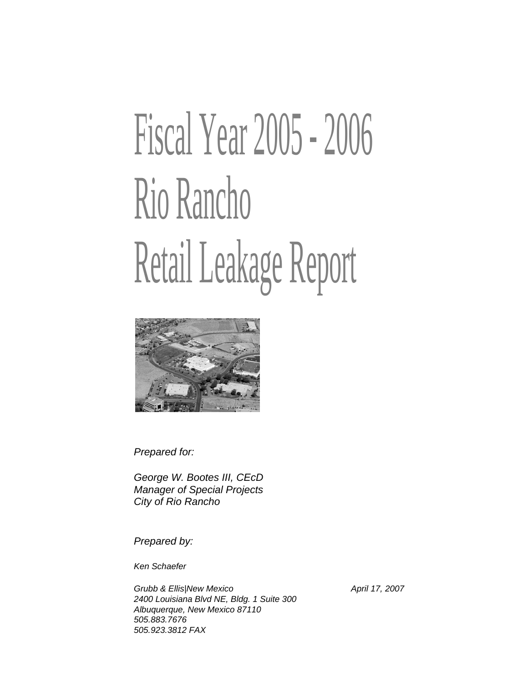# Fiscal Year 2005 - 2006 Rio Rancho Retail Leakage Report



*Prepared for:* 

*George W. Bootes III, CEcD Manager of Special Projects City of Rio Rancho* 

*Prepared by:* 

*Ken Schaefer* 

Grubb & Ellis|New Mexico **April 17, 2007** *2400 Louisiana Blvd NE, Bldg. 1 Suite 300 Albuquerque, New Mexico 87110 505.883.7676 505.923.3812 FAX*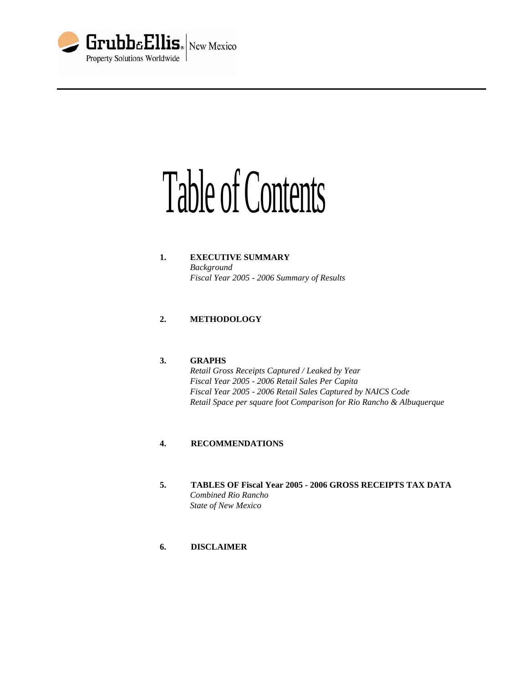

## Table of Contents

**1. EXECUTIVE SUMMARY**  *Background* 

*Fiscal Year 2005 - 2006 Summary of Results*

## **2. METHODOLOGY**

## **3. GRAPHS**

*Retail Gross Receipts Captured / Leaked by Year Fiscal Year 2005 - 2006 Retail Sales Per Capita Fiscal Year 2005 - 2006 Retail Sales Captured by NAICS Code Retail Space per square foot Comparison for Rio Rancho & Albuquerque* 

## **4. RECOMMENDATIONS**

**5. TABLES OF Fiscal Year 2005 - 2006 GROSS RECEIPTS TAX DATA**  *Combined Rio Rancho State of New Mexico* 

## **6. DISCLAIMER**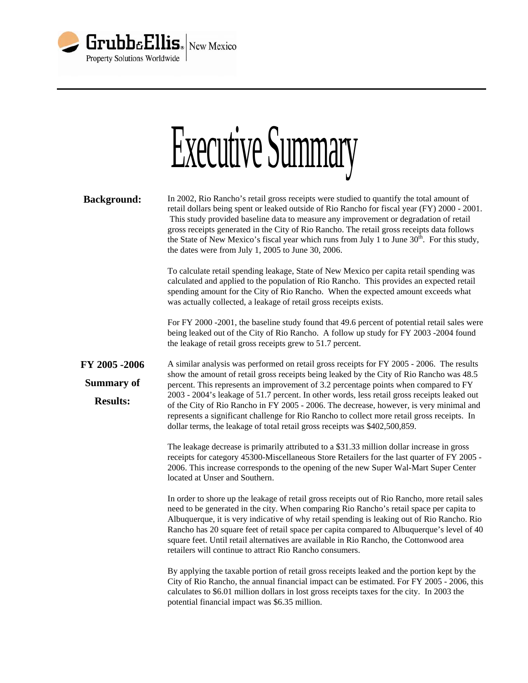

|  | Executive Summary |
|--|-------------------|
|--|-------------------|

**Background:**  In 2002, Rio Rancho's retail gross receipts were studied to quantify the total amount of retail dollars being spent or leaked outside of Rio Rancho for fiscal year (FY) 2000 - 2001. This study provided baseline data to measure any improvement or degradation of retail gross receipts generated in the City of Rio Rancho. The retail gross receipts data follows the State of New Mexico's fiscal year which runs from July 1 to June  $30<sup>th</sup>$ . For this study, the dates were from July 1, 2005 to June 30, 2006.

> To calculate retail spending leakage, State of New Mexico per capita retail spending was calculated and applied to the population of Rio Rancho. This provides an expected retail spending amount for the City of Rio Rancho. When the expected amount exceeds what was actually collected, a leakage of retail gross receipts exists.

For FY 2000 -2001, the baseline study found that 49.6 percent of potential retail sales were being leaked out of the City of Rio Rancho. A follow up study for FY 2003 -2004 found the leakage of retail gross receipts grew to 51.7 percent.

**FY 2005 -2006 Summary of Results:**  A similar analysis was performed on retail gross receipts for FY 2005 - 2006. The results show the amount of retail gross receipts being leaked by the City of Rio Rancho was 48.5 percent. This represents an improvement of 3.2 percentage points when compared to FY 2003 - 2004's leakage of 51.7 percent. In other words, less retail gross receipts leaked out of the City of Rio Rancho in FY 2005 - 2006. The decrease, however, is very minimal and represents a significant challenge for Rio Rancho to collect more retail gross receipts. In dollar terms, the leakage of total retail gross receipts was \$402,500,859.

> The leakage decrease is primarily attributed to a \$31.33 million dollar increase in gross receipts for category 45300-Miscellaneous Store Retailers for the last quarter of FY 2005 - 2006. This increase corresponds to the opening of the new Super Wal-Mart Super Center located at Unser and Southern.

> In order to shore up the leakage of retail gross receipts out of Rio Rancho, more retail sales need to be generated in the city. When comparing Rio Rancho's retail space per capita to Albuquerque, it is very indicative of why retail spending is leaking out of Rio Rancho. Rio Rancho has 20 square feet of retail space per capita compared to Albuquerque's level of 40 square feet. Until retail alternatives are available in Rio Rancho, the Cottonwood area retailers will continue to attract Rio Rancho consumers.

> By applying the taxable portion of retail gross receipts leaked and the portion kept by the City of Rio Rancho, the annual financial impact can be estimated. For FY 2005 - 2006, this calculates to \$6.01 million dollars in lost gross receipts taxes for the city. In 2003 the potential financial impact was \$6.35 million.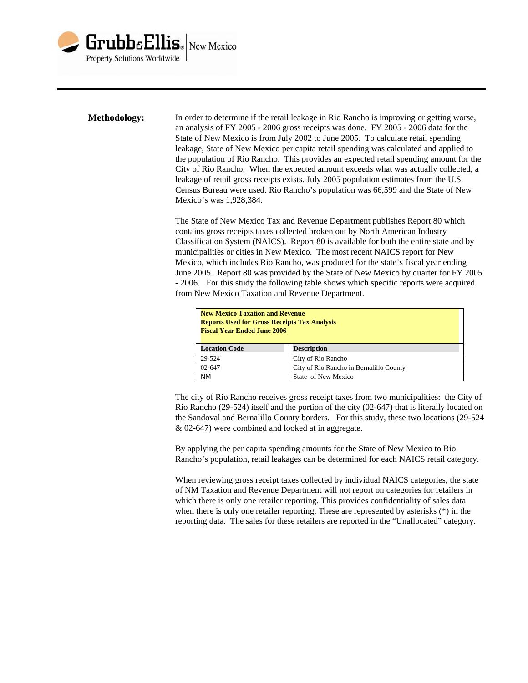

**Methodology:** In order to determine if the retail leakage in Rio Rancho is improving or getting worse, an analysis of FY 2005 - 2006 gross receipts was done. FY 2005 - 2006 data for the State of New Mexico is from July 2002 to June 2005. To calculate retail spending leakage, State of New Mexico per capita retail spending was calculated and applied to the population of Rio Rancho. This provides an expected retail spending amount for the City of Rio Rancho. When the expected amount exceeds what was actually collected, a leakage of retail gross receipts exists. July 2005 population estimates from the U.S. Census Bureau were used. Rio Rancho's population was 66,599 and the State of New Mexico's was 1,928,384.

> The State of New Mexico Tax and Revenue Department publishes Report 80 which contains gross receipts taxes collected broken out by North American Industry Classification System (NAICS). Report 80 is available for both the entire state and by municipalities or cities in New Mexico. The most recent NAICS report for New Mexico, which includes Rio Rancho, was produced for the state's fiscal year ending June 2005. Report 80 was provided by the State of New Mexico by quarter for FY 2005 - 2006. For this study the following table shows which specific reports were acquired from New Mexico Taxation and Revenue Department.

| <b>New Mexico Taxation and Revenue</b><br><b>Reports Used for Gross Receipts Tax Analysis</b><br><b>Fiscal Year Ended June 2006</b> |                                         |  |  |  |  |  |
|-------------------------------------------------------------------------------------------------------------------------------------|-----------------------------------------|--|--|--|--|--|
| <b>Location Code</b>                                                                                                                | <b>Description</b>                      |  |  |  |  |  |
| 29-524                                                                                                                              | City of Rio Rancho                      |  |  |  |  |  |
| $02 - 647$                                                                                                                          | City of Rio Rancho in Bernalillo County |  |  |  |  |  |
| <b>NM</b>                                                                                                                           | State of New Mexico                     |  |  |  |  |  |

The city of Rio Rancho receives gross receipt taxes from two municipalities: the City of Rio Rancho (29-524) itself and the portion of the city (02-647) that is literally located on the Sandoval and Bernalillo County borders. For this study, these two locations (29-524 & 02-647) were combined and looked at in aggregate.

By applying the per capita spending amounts for the State of New Mexico to Rio Rancho's population, retail leakages can be determined for each NAICS retail category.

When reviewing gross receipt taxes collected by individual NAICS categories, the state of NM Taxation and Revenue Department will not report on categories for retailers in which there is only one retailer reporting. This provides confidentiality of sales data when there is only one retailer reporting. These are represented by asterisks (\*) in the reporting data. The sales for these retailers are reported in the "Unallocated" category.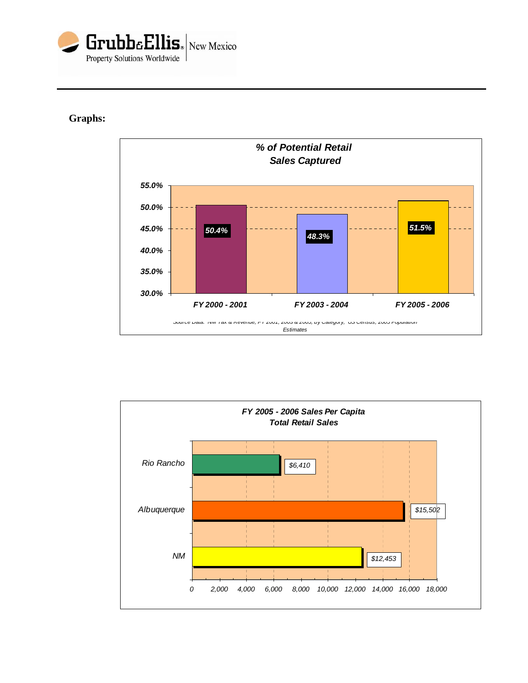

## **Graphs:**



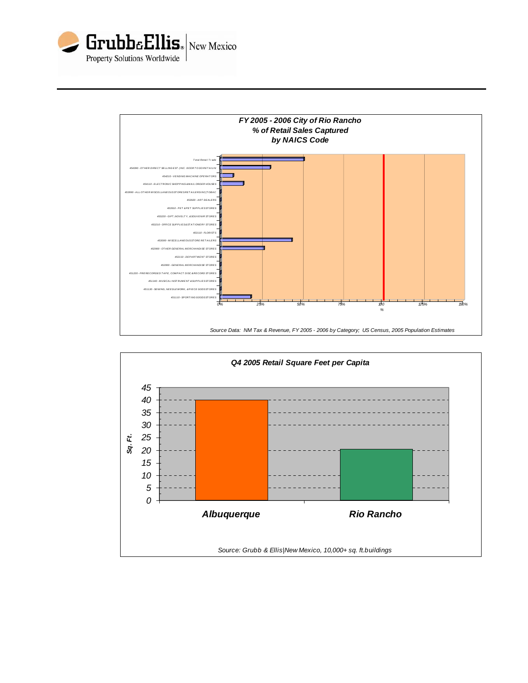



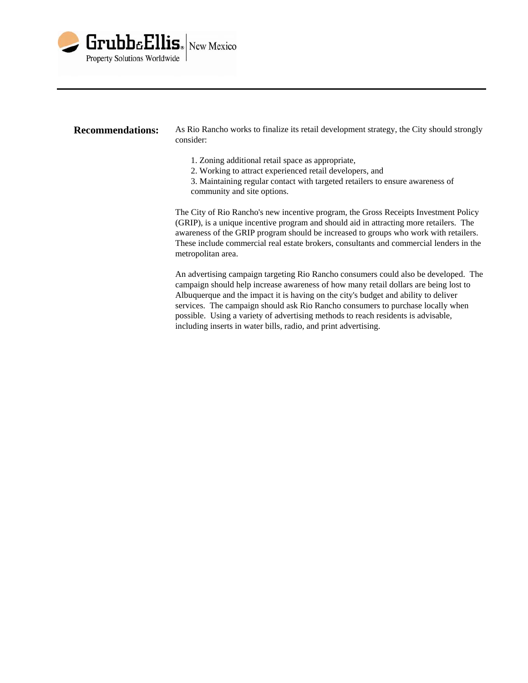

| <b>Recommendations:</b> | As Rio Rancho works to finalize its retail development strategy, the City should strongly<br>consider:                                                                                                                                                                                                                                                                                                                                                                                                        |  |  |  |  |  |  |
|-------------------------|---------------------------------------------------------------------------------------------------------------------------------------------------------------------------------------------------------------------------------------------------------------------------------------------------------------------------------------------------------------------------------------------------------------------------------------------------------------------------------------------------------------|--|--|--|--|--|--|
|                         | 1. Zoning additional retail space as appropriate,<br>2. Working to attract experienced retail developers, and<br>3. Maintaining regular contact with targeted retailers to ensure awareness of<br>community and site options.                                                                                                                                                                                                                                                                                 |  |  |  |  |  |  |
|                         | The City of Rio Rancho's new incentive program, the Gross Receipts Investment Policy<br>(GRIP), is a unique incentive program and should aid in attracting more retailers. The<br>awareness of the GRIP program should be increased to groups who work with retailers.<br>These include commercial real estate brokers, consultants and commercial lenders in the<br>metropolitan area.                                                                                                                       |  |  |  |  |  |  |
|                         | An advertising campaign targeting Rio Rancho consumers could also be developed. The<br>campaign should help increase awareness of how many retail dollars are being lost to<br>Albuquerque and the impact it is having on the city's budget and ability to deliver<br>services. The campaign should ask Rio Rancho consumers to purchase locally when<br>possible. Using a variety of advertising methods to reach residents is advisable,<br>including inserts in water bills, radio, and print advertising. |  |  |  |  |  |  |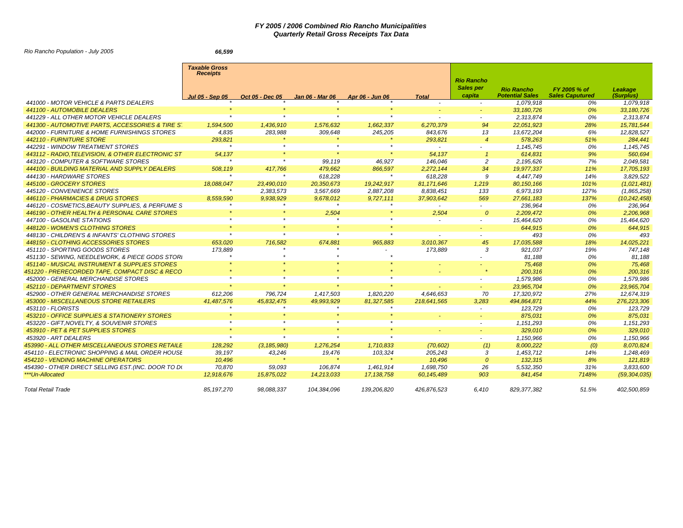## *FY 2005 / 2006 Combined Rio Rancho Municipalities Quarterly Retail Gross Receipts Tax Data*

*Rio Rancho Population - July 2005 66,599* 

|                                                    | <b>Taxable Gross</b><br><b>Receipts</b> |                 |                               |                 |                | <b>Rio Rancho</b>          |                                             |                                        |                      |
|----------------------------------------------------|-----------------------------------------|-----------------|-------------------------------|-----------------|----------------|----------------------------|---------------------------------------------|----------------------------------------|----------------------|
|                                                    | Jul 05 - Sep 05                         | Oct 05 - Dec 05 | <i><b>Jan 06 - Mar 06</b></i> | Apr 06 - Jun 06 | <b>Total</b>   | <b>Sales per</b><br>capita | <b>Rio Rancho</b><br><b>Potential Sales</b> | FY 2005 % of<br><b>Sales Caputured</b> | Leakage<br>(Surplus) |
| 441000 - MOTOR VEHICLE & PARTS DEALERS             |                                         |                 |                               |                 | $\sim$         | $\sim$                     | 1,079,918                                   | 0%                                     | 1,079,918            |
| 441100 - AUTOMOBILE DEALERS                        |                                         |                 |                               |                 |                |                            | 33, 180, 726                                | 0%                                     | 33, 180, 726         |
| 441229 - ALL OTHER MOTOR VEHICLE DEALERS           |                                         |                 |                               |                 | $\sim$         | $\sim$                     | 2,313,874                                   | 0%                                     | 2,313,874            |
| 441300 - AUTOMOTIVE PARTS, ACCESSORIES & TIRE S'   | 1,594,500                               | 1,436,910       | 1,576,632                     | 1,662,337       | 6,270,379      | 94                         | 22,051,923                                  | 28%                                    | 15,781,544           |
| 442000 - FURNITURE & HOME FURNISHINGS STORES       | 4,835                                   | 283,988         | 309,648                       | 245,205         | 843.676        | 13                         | 13.672.204                                  | 6%                                     | 12,828,527           |
| 442110 - FURNITURE STORE                           | 293,821                                 |                 |                               |                 | 293,821        | $\overline{4}$             | 578,263                                     | 51%                                    | 284,441              |
| 442291 - WINDOW TREATMENT STORES                   | $\star$                                 | $\star$         | $\star$                       | $\star$         | $\sim$         | $\sim$                     | 1, 145, 745                                 | 0%                                     | 1,145,745            |
| 443112 - RADIO, TELEVISION, & OTHER ELECTRONIC ST  | 54,137                                  |                 |                               |                 | 54,137         |                            | 614,831                                     | 9%                                     | 560,694              |
| 443120 - COMPUTER & SOFTWARE STORES                |                                         | $\star$         | 99,119                        | 46,927          | 146,046        | 2                          | 2,195,626                                   | 7%                                     | 2,049,581            |
| 444100 - BUILDING MATERIAL AND SUPPLY DEALERS      | 508,119                                 | 417,766         | 479,662                       | 866,597         | 2,272,144      | 34                         | 19,977,337                                  | 11%                                    | 17,705,193           |
| 444130 - HARDWARE STORES                           |                                         |                 | 618,228                       |                 | 618,228        | 9                          | 4,447,749                                   | 14%                                    | 3,829,522            |
| 445100 - GROCERY STORES                            | 18,088,047                              | 23,490,010      | 20.350.673                    | 19,242,917      | 81,171,646     | 1,219                      | 80, 150, 166                                | 101%                                   | (1,021,481)          |
| 445120 - CONVENIENCE STORES                        | $\star$                                 | 2,383,573       | 3,567,669                     | 2,887,208       | 8,838,451      | 133                        | 6,973,193                                   | 127%                                   | (1,865,258)          |
| 446110 - PHARMACIES & DRUG STORES                  | 8,559,590                               | 9,938,929       | 9,678,012                     | 9,727,111       | 37,903,642     | 569                        | 27,661,183                                  | 137%                                   | (10, 242, 458)       |
| 446120 - COSMETICS, BEAUTY SUPPLIES, & PERFUME S   |                                         | $\star$         |                               |                 | $\blacksquare$ | $\sim$                     | 236,964                                     | 0%                                     | 236,964              |
| 446190 - OTHER HEALTH & PERSONAL CARE STORES       |                                         |                 | 2,504                         |                 | 2,504          | $\mathcal{O}$              | 2.209.472                                   | 0%                                     | 2,206,968            |
| 447100 - GASOLINE STATIONS                         |                                         |                 |                               |                 | $\sim$         |                            | 15,464,620                                  | 0%                                     | 15,464,620           |
| 448120 - WOMEN'S CLOTHING STORES                   |                                         |                 |                               |                 |                |                            | 644.915                                     | 0%                                     | 644.915              |
| 448130 - CHILDREN'S & INFANTS' CLOTHING STORES     | $\star$                                 | $\star$         | $\star$                       | $\star$         | $\blacksquare$ | $\sim$                     | 493                                         | 0%                                     | 493                  |
| 448150 - CLOTHING ACCESSORIES STORES               | 653,020                                 | 716,582         | 674,881                       | 965,883         | 3,010,367      | 45                         | 17,035,588                                  | 18%                                    | 14,025,221           |
| 451110 - SPORTING GOODS STORES                     | 173,889                                 |                 |                               |                 | 173,889        | 3                          | 921,037                                     | 19%                                    | 747,148              |
| 451130 - SEWING, NEEDLEWORK, & PIECE GODS STOR.    |                                         |                 |                               |                 |                |                            | 81,188                                      | 0%                                     | 81,188               |
| 451140 - MUSICAL INSTRUMENT & SUPPLIES STORES      |                                         |                 |                               |                 |                |                            | 75,468                                      | 0%                                     | 75,468               |
| 451220 - PRERECORDED TAPE, COMPACT DISC & RECO     |                                         |                 |                               |                 |                | $\star$                    | 200,316                                     | 0%                                     | 200,316              |
| 452000 - GENERAL MERCHANDISE STORES                |                                         |                 |                               |                 |                | $\sim$                     | 1,579,986                                   | 0%                                     | 1,579,986            |
| 452110 - DEPARTMENT STORES                         |                                         |                 |                               |                 |                | $\sim$                     | 23,965,704                                  | 0%                                     | 23,965,704           |
| 452900 - OTHER GENERAL MERCHANDISE STORES          | 612,206                                 | 796,724         | 1,417,503                     | 1,820,220       | 4,646,653      | 70                         | 17,320,972                                  | 27%                                    | 12,674,319           |
| 453000 - MISCELLANEOUS STORE RETAILERS             | 41,487,576                              | 45,832,475      | 49,993,929                    | 81,327,585      | 218,641,565    | 3,283                      | 494,864,871                                 | 44%                                    | 276,223,306          |
| 453110 - FLORISTS                                  |                                         |                 |                               |                 |                | $\sim$                     | 123,729                                     | 0%                                     | 123,729              |
| 453210 - OFFICE SUPPLIES & STATIONERY STORES       |                                         | $\star$         |                               |                 |                | $\sim$                     | 875,031                                     | 0%                                     | 875,031              |
| 453220 - GIFT, NOVELTY, & SOUVENIR STORES          |                                         |                 |                               |                 |                | $\sim$                     | 1,151,293                                   | 0%                                     | 1,151,293            |
| 453910 - PET & PET SUPPLIES STORES                 |                                         |                 |                               |                 |                |                            | 329.010                                     | 0%                                     | 329,010              |
| 453920 - ART DEALERS                               | $\star$                                 | $\star$         | $\star$                       |                 |                | ٠                          | 1,150,966                                   | 0%                                     | 1,150,966            |
| 453990 - ALL OTHER MISCELLANEOUS STORES RETAILE    | 128,292                                 | (3, 185, 980)   | 1,276,254                     | 1,710,833       | (70, 602)      | (1)                        | 8,000,222                                   | (0)                                    | 8.070.824            |
| 454110 - ELECTRONIC SHOPPING & MAIL ORDER HOUSL    | 39,197                                  | 43,246          | 19,476                        | 103,324         | 205,243        | 3                          | 1,453,712                                   | 14%                                    | 1,248,469            |
| 454210 - VENDING MACHINE OPERATORS                 | 10,496                                  |                 |                               |                 | 10,496         | $\mathcal{O}$              | 132,315                                     | 8%                                     | 121,819              |
| 454390 - OTHER DIRECT SELLING EST.(INC. DOOR TO DI | 70,870                                  | 59,093          | 106,874                       | 1,461,914       | 1,698,750      | 26                         | 5,532,350                                   | 31%                                    | 3,833,600            |
| **Un-Allocated                                     | 12,918,676                              | 15,875,022      | 14,213,033                    | 17, 138, 758    | 60,145,489     | 903                        | 841,454                                     | 7148%                                  | (59, 304, 035)       |
| Total Retail Trade                                 | 85, 197, 270                            | 98,088,337      | 104,384,096                   | 139,206,820     | 426,876,523    | 6,410                      | 829,377,382                                 | 51.5%                                  | 402,500,859          |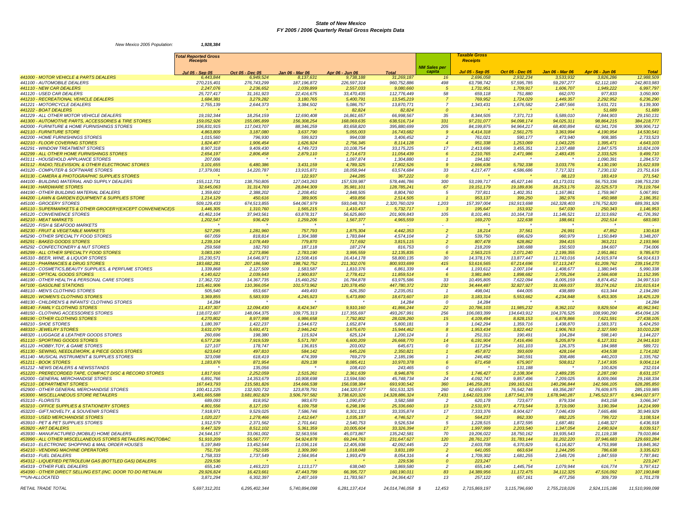### *State of New Mexico FY 2005 / 2006 Quarterly Retail Gross Receipts Data*

*New Mexico 2005 Population: 1,928,384* 

|                                                                                                      | <b>Total Reported Gross</b><br><b>Receipts</b> |                            |                            |                           |                            |                                | <b>Taxable Gross</b><br><b>Receipts</b> |                          |                          |                           |                            |
|------------------------------------------------------------------------------------------------------|------------------------------------------------|----------------------------|----------------------------|---------------------------|----------------------------|--------------------------------|-----------------------------------------|--------------------------|--------------------------|---------------------------|----------------------------|
|                                                                                                      | Jul 05 - Sep 05                                | Oct 05 - Dec 05            | Jan 06 - Mar 06            | Apr 06 - Jun 06           | <b>Total</b>               | <b>NM Sales per</b><br>capita  | Jul 05 - Sep 05                         | Oct 05 - Dec 05          | Jan 06 - Mar 06          | Apr 06 - Jun 06           | <b>Total</b>               |
| 441000 - MOTOR VEHICLE & PARTS DEALERS                                                               | 6,443,844                                      | 6,949,524                  | 8,137,631                  | 9,738,188                 | 31,269,187                 | 16                             | 2,696,058                               | 2,932,234                | 3,533,932                | 3,826,286                 | 12,988,509                 |
| 441100 - AUTOMOBILE DEALERS<br>441110 - NEW CAR DEALERS                                              | 270,215,401<br>2,247,076                       | 276,743,299<br>2,236,652   | 187, 196, 872<br>2,039,899 | 226,597,314<br>2,557,033  | 960,752,886<br>9,080,660   | 498<br>5                       | 63,798,742<br>1,731,951                 | 57,595,785<br>1.709.917  | 59,297,277<br>1,606,707  | 62, 112, 180<br>1,949,222 | 242,803,983<br>6,997,797   |
| 441120 - USED CAR DEALERS                                                                            | 25,727,417                                     | 31,161,923                 | 22,416,675                 | 33,470,435                | 112,776,449                | 58                             | 659,118                                 | 751,880                  | 662,070                  | 977,833                   | 3,050,900                  |
| 441210 - RECREATIONAL VEHICLE DEALERS                                                                | 1,684,381                                      | 3,279,282                  | 3, 180, 765                | 5,400,791                 | 13,545,219                 |                                | 769,952                                 | 1,724,029                | 1,449,357                | 2,292,952                 | 6,236,290                  |
| 441221 - MOTORCYCLE DEALERS                                                                          | 2,755,139                                      | 2,644,373                  | 3,384,502                  | 5,086,757                 | 13,870,771                 | $\overline{7}$                 | 1,343,431                               | 1,676,582                | 2,487,566                | 3,631,721                 | 9,139,300                  |
| 441222 - BOAT DEALERS                                                                                |                                                |                            |                            | 82,824                    | 82,824                     | $\Omega$                       |                                         |                          |                          | 51,689                    | 51,689                     |
| 441229 - ALL OTHER MOTOR VEHICLE DEALERS                                                             | 19, 192, 344                                   | 18,254,159                 | 12,690,408                 | 16,861,657                | 66,998,567                 | 35                             | 8,344,505                               | 7,371,713                | 5,589,010                | 7,844,903                 | 29, 150, 131               |
| 441300 - AUTOMOTIVE PARTS, ACCESSORIES & TIRE STORES<br>442000 - FURNITURE & HOME FURNISHINGS STORES | 159,052,926<br>106,831,915                     | 155,085,899<br>117,043,707 | 156,308,254<br>88,346,259  | 168,069,635<br>83,658,820 | 638,516,714<br>395,880,699 | 331<br>205                     | 97,231,077<br>84, 199, 875              | 94,098,174<br>94,964,217 | 94,025,311<br>68,400,894 | 98,864,215<br>62,341,726  | 384,218,777<br>309,906,712 |
| 442110 - FURNITURE STORE                                                                             | 4,863,809                                      | 3,187,080                  | 3,637,790                  | 5,055,003                 | 16,743,682                 | 9                              | 4,414,318                               | 2,561,275                | 3,363,994                | 4,190,954                 | 14,530,541                 |
| 442200 - HOME FURNISHINGS STORES                                                                     | 1,015,560                                      | 796,930                    | 599,923                    | 994,038                   | 3,406,452                  | $\overline{\phantom{a}}$       | 761,021                                 | 590,177                  | 473,940                  | 908,385                   | 2,733,523                  |
| 442210 - FLOOR COVERING STORES                                                                       | 1,824,407                                      | 1,906,454                  | 1,626,924                  | 2,756,345                 | 8,114,128                  | $\boldsymbol{A}$               | 951,338                                 | 1,253,069                | 1,043,225                | 1,395,471                 | 4,643,103                  |
| 442291 - WINDOW TREATMENT STORES                                                                     | 8,907,318                                      | 9,409,430                  | 4,749,723                  | 10, 108, 754              | 33, 175, 225               | 17                             | 2,413,696                               | 3,455,351                | 2,107,488                | 2.847.575                 | 10,824,109                 |
| 442299 - ALL OTHER HOME FURNISHINGS STORES                                                           | 2,654,197                                      | 2,806,458                  | 2,879,110                  | 2,714,673                 | 11,054,439                 |                                | 2,210,765                               | 2,471,986                | 2,483,435                | 2,333,525                 | 9,499,710                  |
| 443111 - HOUSEHOLD APPLIANCE STORES<br>443112 - RADIO, TELEVISION, & OTHER ELECTRONIC STORES         | 207,006<br>3, 101, 655                         | 6,480,386                  | 3,431,159                  | 1,097,874<br>4,789,325    | 1,304,880<br>17,802,526    | $\overline{9}$                 | 194,182<br>2,666,636                    | 5,792,338                | 3,033,776                | 1,090,391<br>4,130,190    | 1,284,572<br>15,622,939    |
| 443120 - COMPUTER & SOFTWARE STORES                                                                  | 17,379,081                                     | 14,220,787                 | 13,915,871                 | 18,058,944                | 63,574,684                 | 33                             | 4,217,477                               | 4,586,686                | 7,717,321                | 7,230,132                 | 23,751,616                 |
| 443130 - CAMERA & PHOTOGRAPHIC SUPPLIES STORES                                                       |                                                |                            | 122,937                    | 244,285                   | 367,222                    | $\mathcal{O}$                  |                                         |                          | 88,123                   | 183,419                   | 271,542                    |
| 444100 - BUILDING MATERIAL AND SUPPLY DEALERS                                                        | 155, 112, 731                                  | 138,750,805                | 127,043,263                | 157,539,987               | 578,446,786                | 300                            | 53, 199, 717                            | 45,627,146               | 43, 173, 031             | 56,753,336                | 198,753,230                |
| 444130 - HARDWARE STORES                                                                             | 32,645,063                                     | 31.314.769                 | 28,844,309                 | 35,981,101                | 128,785,241                | 67                             | 19.151.179                              | 19,189,836               | 18,253,176               | 22,525,573                | 79,119,764                 |
| 444190 - OTHER BUILDING MATERIAL DEALERS                                                             | 1,359,602                                      | 2,388,202                  | 2,208,451                  | 2,848,505                 | 8,804,760                  | -5                             | 737,811                                 | 1,402,351                | 1,167,861                | 1,759,967                 | 5,067,991                  |
| 444200 - LAWN & GARDEN EQUIPMENT & SUPPLIES STORE<br>445100 - GROCERY STORES                         | 1,214,129<br>509, 129, 433                     | 450,616<br>674,513,855     | 389,905<br>544,067,979     | 459,856<br>593,048,763    | 2,514,505<br>2,320,760,029 | 1,203                          | 953,137<br>157,397,004                  | 399,250<br>192,913,698   | 382,976<br>162,328,403   | 450,988<br>176,752,820    | 2,186,351<br>689,391,926   |
| 445110 - SUPERMARKETS & OTHER GROCERY(EXCEPT CONVENIENCE)S                                           | 1,446,305                                      | 1,310,760                  | 1,565,215                  | 1,410,437                 | 5.732.717                  | -3                             | 195,647                                 | 153,932                  | 547,030                  | 250,343                   | 1,146,953                  |
| 445120 - CONVENIENCE STORES                                                                          | 43,462,104                                     | 37,943,561                 | 63,878,317                 | 56,625,860                | 201,909,843                | 105                            | 8,101,461                               | 10, 164, 718             | 11,146,521               | 12,313,692                | 41,726,392                 |
| 445210 - MEAT MARKETS                                                                                | 1,202,547                                      | 936,429                    | 1,259,206                  | 1,567,377                 | 4,965,559                  | 3                              | 169,270                                 | 122,638                  | 188,661                  | 202,514                   | 683,083                    |
| 445220 - FISH & SEAFOOD MARKETS                                                                      |                                                |                            |                            |                           |                            |                                |                                         |                          |                          |                           |                            |
| 445230 - FRUIT & VEGETABLE MARKETS                                                                   | 527.295                                        | 1.281.960                  | 757.793                    | 1,875,304                 | 4.442.353                  | $\overline{2}$                 | 18.214                                  | 37.561                   | 26.991                   | 47.852                    | 130.618                    |
| 445290 - OTHER SPECIALTY FOOD STORES                                                                 | 667,059                                        | 818,814                    | 1,304,388                  | 1,783,844                 | 4,574,104                  | $\overline{\phantom{a}}$       | 539,750                                 | 696,629                  | 960,979                  | 1,150,849                 | 3,348,207                  |
| 445291 - BAKED GOODS STORES<br>445292 - CONFECTIONERY & NUT STORES                                   | 1,239,104<br>259,568                           | 1,078,449<br>182,793       | 779,870<br>187,118         | 717,692<br>187,274        | 3,815,115<br>816,753       | $\Omega$                       | 807,478<br>218,209                      | 628,862<br>180,688       | 394,415<br>150,503       | 363,211<br>184,607        | 2,193,966<br>734,006       |
| 445299 - ALL OTHER SPECIALTY FOOD STORES                                                             | 3,083,190                                      | 2,273,896                  | 2,783,190                  | 3,995,559                 | 12, 135, 835               | 6                              | 2,563,215                               | 2,071,240                | 2,199,355                | 2,951,861                 | 9,785,670                  |
| 445310 - BEER, WINE, & LIQUOR STORES                                                                 | 15,230,571                                     | 14,646,971                 | 12,508,416                 | 16,414,178                | 58,800,135                 | 30                             | 14,378,176                              | 13,877,447               | 11,743,016               | 14,915,974                | 54,914,613                 |
| 446110 - PHARMACIES & DRUG STORES                                                                    | 183,682,281                                    | 207, 186, 590              | 198,762,752                | 211,302,076               | 800,933,699                | 415                            | 53,616,565                              | 67,214,696               | 57,113,247               | 61,209,762                | 239, 154, 270              |
| 446120 - COSMETICS, BEAUTY SUPPLIES, & PERFUME STORES                                                | 1,339,868                                      | 2,127,509                  | 1,583,587                  | 1,810,376                 | 6,861,339                  | $\overline{4}$                 | 1.193.612                               | 2,007,104                | 1,408,677                | 1,380,945                 | 5,990,338                  |
| 446130 - OPTICAL GOODS STORES                                                                        | 4,140,622                                      | 2,039,643                  | 2,900,837                  | 2,778,412                 | 11,859,514                 | 6                              | 3,981,840                               | 1,898,682                | 2,705,264                | 2,566,608                 | 11, 152, 395               |
| 446190 - OTHER HEALTH & PERSONAL CARE STORES<br>447100 - GASOLINE STATIONS                           | 17,362,722<br>115,461,906                      | 14,367,735<br>110,366,054  | 15,460,252<br>101,573,962  | 16,784,878<br>120,378,450 | 63,975,586<br>447,780,372  | 33<br>232                      | 10,495,805<br>34,444,487                | 7,622,094<br>32,827,927  | 8,005,159<br>31,069,037  | 8,874,452<br>33,274,162   | 34,997,510<br>131,615,614  |
| 448110 - MEN'S CLOTHING STORES                                                                       | 505,540                                        | 653,667                    | 449,493                    | 626,350                   | 2,235,051                  |                                | 498,041                                 | 644,005                  | 438,889                  | 613,344                   | 2,194,280                  |
| 448120 - WOMEN'S CLOTHING STORES                                                                     | 3,369,855                                      | 5,583,939                  | 4,245,923                  | 5,473,890                 | 18,673,607                 | 10                             | 3,183,314                               | 5,553,662                | 4,234,848                | 5,453,305                 | 18,425,129                 |
| 448130 - CHILDREN'S & INFANTS' CLOTHING STORES                                                       | 14,284                                         |                            |                            |                           | 14,284                     | $\Omega$                       | 14,284                                  |                          |                          |                           | 14,284                     |
| 448140 - FAMILY CLOTHING STORES                                                                      | 11,437,307                                     | 12.094.430                 | 8,424,347                  | 9,910,160                 | 41,866,244                 | 22                             | 10,786,103                              | 11.985.232               | 8,362,102                | 9.829.504                 | 40,962,941                 |
| 448150 - CLOTHING ACCESSORIES STORES                                                                 | 118,072,607                                    | 148,064,375                | 109,775,313                | 117,355,697               | 493,267,991                | 256                            | 106,083,399                             | 134,643,912              | 104,376,525              | 108,990,290               | 454,094,126                |
| 448190 - OTHER CLOTHING STORES                                                                       | 4,270,802                                      | 8,977,998                  | 6,986,658                  | 7,792,802                 | 28,028,260                 | 15<br>$\cdot$                  | 4,109,494                               | 8,828,153                | 6,878,866                | 7,621,591                 | 27,438,105                 |
| 448210 - SHOE STORES<br>448310 - JEWELRY STORES                                                      | 1,180,397<br>3,631,079                         | 1,422,237<br>5.691.471     | 1,544,672<br>2,946,242     | 1,652,874<br>3,675,670    | 5,800,181<br>15,944,462    | $\overline{R}$                 | 1,042,294<br>1,953,434                  | 1,359,716<br>3,822,442   | 1,438,870<br>1,906,763   | 1,583,371<br>2,327,590    | 5,424,250<br>10,010,228    |
| 448320 - LUGGAGE & LEATHER GOODS STORES                                                              | 260,696                                        | 198,380                    | 115,924                    | 625,124                   | 1,200,124                  |                                | 251,312                                 | 190,491                  | 104,284                  | 598,140                   | 1,144,227                  |
| 451110 - SPORTING GOODS STORES                                                                       | 6,577,236                                      | 7,919,539                  | 5,571,787                  | 6,600,209                 | 26,668,770                 | 14                             | 6,191,904                               | 7,416,496                | 5,205,879                | 6, 127, 331               | 24,941,610                 |
| 451120 - HOBBY, TOY, & GAME STORES                                                                   | 127,107                                        | 178,747                    | 136,815                    | 203,002                   | 645,671                    | $\Omega$                       | 117,254                                 | 161,103                  | 126,375                  | 184.988                   | 589,721                    |
| 451130 - SEWING, NEEDLEWORK, & PIECE GODS STORES                                                     | 623,643                                        | 497,810                    | 584,142                    | 645,226                   | 2,350,821                  |                                | 457,872                                 | 393,609                  | 428, 164                 | 434,538                   | 1,714,182                  |
| 451140 - MUSICAL INSTRUMENT & SUPPLIES STORES                                                        | 323,098                                        | 618,419                    | 474,399                    | 769,279                   | 2,185,196                  |                                | 246,482                                 | 340,591                  | 308,486                  | 440,203                   | 1,335,762                  |
| 451211 - BOOK STORES<br>451212 - NEWS DEALERS & NEWSSTANDS                                           | 1,183,876                                      | 871,954<br>135,056         | 829,138                    | 8,085,411<br>108,410      | 10,970,378<br>243,465      | $\Omega$                       | 671,458                                 | 675,907<br>131,188       | 508,812                  | 7,147,935<br>100,826      | 9,004,114<br>232,014       |
| 451220 - PRERECORDED TAPE, COMPACT DISC & RECORD STORES                                              | 1,817,916                                      | 2,252,059                  | 2,515,261                  | 2,361,639                 | 8,946,876                  | 5                              | 1,746,427                               | 2,108,304                | 2,489,235                | 2,287,190                 | 8,631,157                  |
| 452000 - GENERAL MERCHANDISE STORES                                                                  | 6,891,766                                      | 14,353,679                 | 10,908,698                 | 13,594,590                | 45,748,734                 | 24                             | 4,092,747                               | 9,857,496                | 7,209,025                | 8,009,066                 | 29, 168, 334               |
| 452110 - DEPARTMENT STORES                                                                           | 167,643,793                                    | 215,581,826                | 154,666,538                | 156,038,384               | 693.930.542                | 360                            | 146.259.281                             | 199, 163, 621            | 140,296,844              | 142.566.105               | 628,285,850                |
| 452900 - OTHER GENERAL MERCHANDISE STORES                                                            | 100,411,225                                    | 132,920,732                | 123,878,791                | 144,320,577               | 501,531,325                | 260                            | 62,650,977                              | 76,542,746               | 69,356,287               | 76,609,975                | 285, 159, 985              |
| 453000 - MISCELLANEOUS STORE RETAILERS                                                               | 3,401,665,588                                  | 3,681,802,829              | 3,506,797,582              | 3,738,620,326             | 14,328,886,324             | 7,431                          | 1,642,023,336                           | 1,877,541,378            | 1,678,940,287            | 1,745,522,977             | 6,944,027,977              |
| 453110 - FLORISTS<br>453210 - OFFICE SUPPLIES & STATIONERY STORES                                    | 689,093<br>4,801,556                           | 818,952<br>8,127,150       | 983,670<br>6,109,758       | 1,090,872<br>6,298,196    | 3,582,588<br>25,336,660    | $\overline{z}$<br>13           | 620,178<br>2,531,971                    | 723,677<br>4,773,544     | 879,334<br>3,719,090     | 843, 158<br>3,190,394     | 3,066,347<br>14,214,999    |
| 453220 - GIFT, NOVELTY, & SOUVENIR STORES                                                            | 7,918,971                                      | 9,529,025                  | 7,586,746                  | 8,301,133                 | 33,335,874                 | 17                             | 7,333,376                               | 8,904,627                | 7,046,439                | 7,665,486                 | 30,949,929                 |
| 453310 - USED MERCHANDISE STORES                                                                     | 1,020,227                                      | 1,278,466                  | 1,412,647                  | 1,035,187                 | 4,746,527                  | $\overline{2}$                 | 564,237                                 | 862,330                  | 882,225                  | 799,722                   | 3,108,514                  |
| 453910 - PET & PET SUPPLIES STORES                                                                   | 1,912,579                                      | 2,371,562                  | 2,701,641                  | 2,540,753                 | 9,526,534                  | 5                              | 1,228,515                               | 1,872,595                | 1,687,481                | 1,648,327                 | 6,436,918                  |
| 453920 - ART DEALERS                                                                                 | 9,447,329                                      | 8,512,102                  | 5,361,359                  | 10,005,604                | 33,326,394                 | 17                             | 1,997,999                               | 2,203,540                | 1,347,054                | 2,490,924                 | 8.039,517                  |
| 453930 - MANUFACTURED (MOBILE) HOME DEALERS                                                          | 24,544,157                                     | 33,061,002                 | 32,563,556                 | 45,073,867                | 135,242,581                | 70                             | 19,206,022                              | 18,750,162               | 19,935,543               | 21,119,138                | 79,010,864                 |
| 453990 - ALL OTHER MISCELLANEOUS STORES RETAILERS INC(TOBAC                                          | 51,910,209                                     | 55,567,777                 | 54,924,878                 | 69,244,763                | 231,647,627                | 120                            | 28,761,237                              | 31,783,144               | 31,202,220               | 37,946,683                | 129,693,284                |
| 454110 - ELECTRONIC SHOPPING & MAIL ORDER HOUSES<br>454210 - VENDING MACHINE OPERATORS               | 5,197,849<br>751,716                           | 13,452,544<br>752,035      | 11,036,116<br>1,309,390    | 12,405,936<br>1,018,048   | 42,092,445<br>3,831,189    | 22<br>$\overline{\phantom{0}}$ | 2,603,708<br>641,055                    | 6,370,829<br>663,634     | 6,116,827<br>1,244,295   | 4,753,998<br>786,638      | 19,845,362<br>3,335,623    |
| 454310 - FUEL DEALERS                                                                                | 1,758,333                                      | 1,737,549                  | 2,564,954                  | 1,993,479                 | 8,054,316                  | $\overline{4}$                 | 1,709,302                               | 1,681,255                | 2,549,726                | 1,847,559                 | 7,787,841                  |
| 454312 - LIQUEFIED PETROLEUM GAS (BOTTLED GAS) DEALERS                                               | 229,536                                        |                            |                            |                           | 229,536                    | $\Omega$                       | 223,247                                 |                          |                          |                           | 223,247                    |
| 454319 - OTHER FUEL DEALERS                                                                          | 655,140                                        | 1,463,223                  | 1,113,177                  | 638,040                   | 3.869.580                  | $\overline{\phantom{a}}$       | 655.140                                 | 1,445,754                | 1,079,944                | 616,774                   | 3,797,612                  |
| 454390 - OTHER DIRECT SELLING EST. (INC. DOOR TO DO RETAILIN                                         | 29,926,824                                     | 16,423,661                 | 47, 443, 799               | 66,395,727                | 160, 190, 011              | 83                             | 14,389,956                              | 11, 172, 475             | 34, 112, 325             | 47,516,092                | 107, 190, 848              |
| ***UN-ALLOCATED                                                                                      | 3,871,294                                      | 6,302,397                  | 2,407,169                  | 11,783,567                | 24,364,427                 | 13                             | 257,122                                 | 657,161                  | 477,256                  | 309.739                   | 1,701,278                  |
| RETAIL TRADE TOTAL                                                                                   | 5,697,312,201                                  | 6.295.402.344              | 5.740.894.098              | 6,281,137,414             | 24,014,746,058 \$          | 12.453                         | 2.715.869.197                           | 3.115.796.690            | 2.755.218.026            | 2.924.115.186             | 11.510.999.098             |
|                                                                                                      |                                                |                            |                            |                           |                            |                                |                                         |                          |                          |                           |                            |